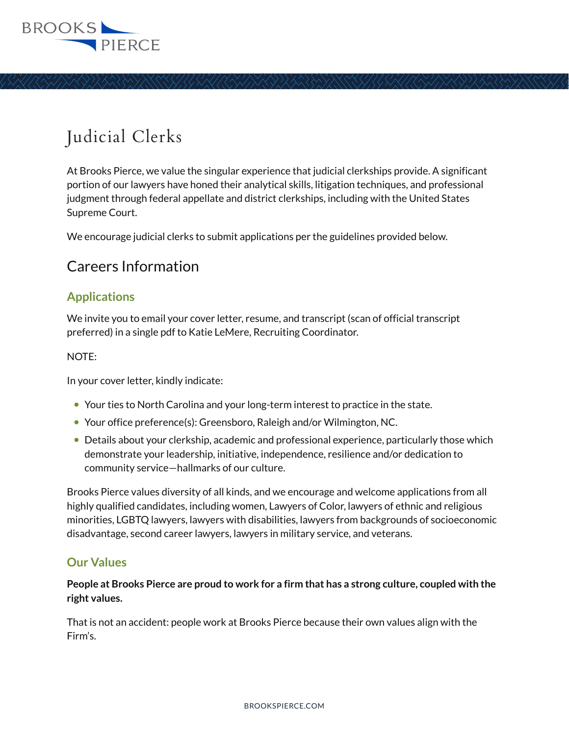

# Judicial Clerks

At Brooks Pierce, we value the singular experience that judicial clerkships provide. A significant portion of our lawyers have honed their analytical skills, litigation techniques, and professional judgment through federal appellate and district clerkships, including with the United States Supreme Court.

We encourage judicial clerks to submit applications per the guidelines provided below.

# Careers Information

## **Applications**

We invite you to email your cover letter, resume, and transcript (scan of official transcript preferred) in a single pdf to Katie LeMere, Recruiting Coordinator.

#### NOTE:

In your cover letter, kindly indicate:

- Your ties to North Carolina and your long-term interest to practice in the state.
- Your office preference(s): Greensboro, Raleigh and/or Wilmington, NC.
- Details about your clerkship, academic and professional experience, particularly those which demonstrate your leadership, initiative, independence, resilience and/or dedication to community service—hallmarks of our culture.

Brooks Pierce values diversity of all kinds, and we encourage and welcome applications from all highly qualified candidates, including women, Lawyers of Color, lawyers of ethnic and religious minorities, LGBTQ lawyers, lawyers with disabilities, lawyers from backgrounds of socioeconomic disadvantage, second career lawyers, lawyers in military service, and veterans.

## **Our Values**

**People at Brooks Pierce are proud to work for a firm that has a strong culture, coupled with the right values.** 

That is not an accident: people work at Brooks Pierce because their own values align with the Firm's.